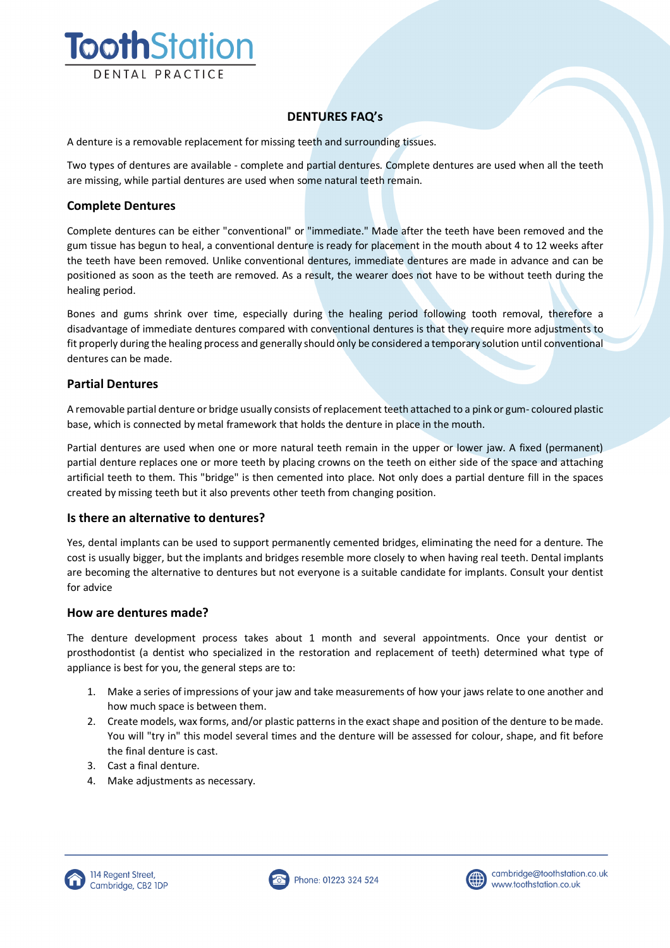

# **DENTURES FAQ's**

A denture is a removable replacement for missing teeth and surrounding tissues.

Two types of dentures are available - complete and partial dentures. Complete dentures are used when all the teeth are missing, while partial dentures are used when some natural teeth remain.

### **Complete Dentures**

Complete dentures can be either "conventional" or "immediate." Made after the teeth have been removed and the gum tissue has begun to heal, a conventional denture is ready for placement in the mouth about 4 to 12 weeks after the teeth have been removed. Unlike conventional dentures, immediate dentures are made in advance and can be positioned as soon as the teeth are removed. As a result, the wearer does not have to be without teeth during the healing period.

Bones and gums shrink over time, especially during the healing period following tooth removal, therefore a disadvantage of immediate dentures compared with conventional dentures is that they require more adjustments to fit properly during the healing process and generally should only be considered a temporary solution until conventional dentures can be made.

### **Partial Dentures**

A removable partial denture or bridge usually consists of replacement teeth attached to a pink or gum- coloured plastic base, which is connected by metal framework that holds the denture in place in the mouth.

Partial dentures are used when one or more natural teeth remain in the upper or lower jaw. A fixed (permanent) partial denture replaces one or more teeth by placing crowns on the teeth on either side of the space and attaching artificial teeth to them. This "bridge" is then cemented into place. Not only does a partial denture fill in the spaces created by missing teeth but it also prevents other teeth from changing position.

#### **Is there an alternative to dentures?**

Yes, dental implants can be used to support permanently cemented bridges, eliminating the need for a denture. The cost is usually bigger, but the implants and bridges resemble more closely to when having real teeth. Dental implants are becoming the alternative to dentures but not everyone is a suitable candidate for implants. Consult your dentist for advice

#### **How are dentures made?**

The denture development process takes about 1 month and several appointments. Once your dentist or prosthodontist (a dentist who specialized in the restoration and replacement of teeth) determined what type of appliance is best for you, the general steps are to:

- 1. Make a series of impressions of your jaw and take measurements of how your jaws relate to one another and how much space is between them.
- 2. Create models, wax forms, and/or plastic patterns in the exact shape and position of the denture to be made. You will "try in" this model several times and the denture will be assessed for colour, shape, and fit before the final denture is cast.
- 3. Cast a final denture.
- 4. Make adjustments as necessary.





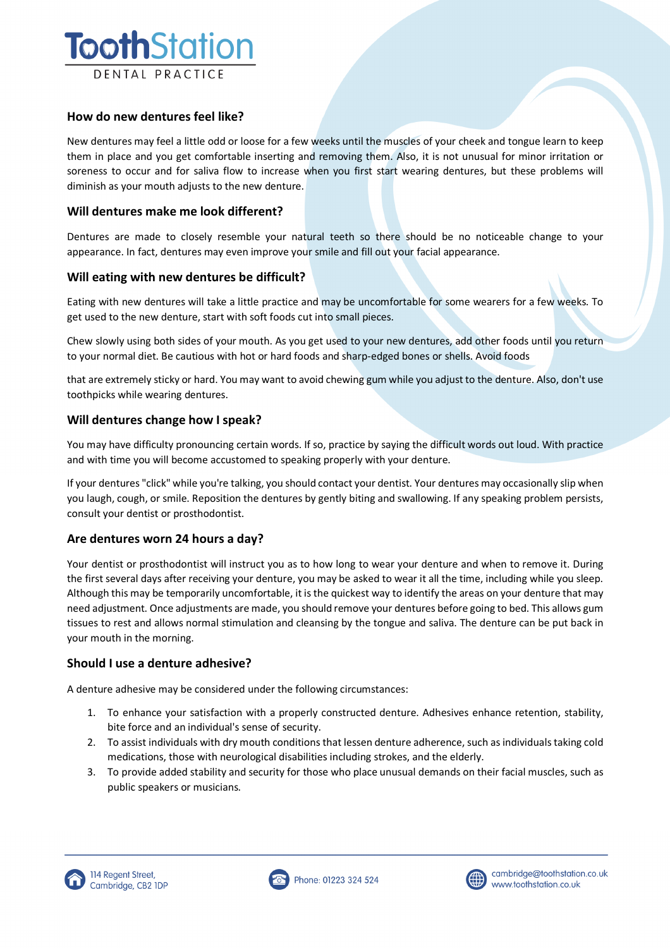

## **How do new dentures feel like?**

New dentures may feel a little odd or loose for a few weeks until the muscles of your cheek and tongue learn to keep them in place and you get comfortable inserting and removing them. Also, it is not unusual for minor irritation or soreness to occur and for saliva flow to increase when you first start wearing dentures, but these problems will diminish as your mouth adjusts to the new denture.

### **Will dentures make me look different?**

Dentures are made to closely resemble your natural teeth so there should be no noticeable change to your appearance. In fact, dentures may even improve your smile and fill out your facial appearance.

### **Will eating with new dentures be difficult?**

Eating with new dentures will take a little practice and may be uncomfortable for some wearers for a few weeks. To get used to the new denture, start with soft foods cut into small pieces.

Chew slowly using both sides of your mouth. As you get used to your new dentures, add other foods until you return to your normal diet. Be cautious with hot or hard foods and sharp-edged bones or shells. Avoid foods

that are extremely sticky or hard. You may want to avoid chewing gum while you adjust to the denture. Also, don't use toothpicks while wearing dentures.

### **Will dentures change how I speak?**

You may have difficulty pronouncing certain words. If so, practice by saying the difficult words out loud. With practice and with time you will become accustomed to speaking properly with your denture.

If your dentures "click" while you're talking, you should contact your dentist. Your dentures may occasionally slip when you laugh, cough, or smile. Reposition the dentures by gently biting and swallowing. If any speaking problem persists, consult your dentist or prosthodontist.

#### **Are dentures worn 24 hours a day?**

Your dentist or prosthodontist will instruct you as to how long to wear your denture and when to remove it. During the first several days after receiving your denture, you may be asked to wear it all the time, including while you sleep. Although this may be temporarily uncomfortable, it is the quickest way to identify the areas on your denture that may need adjustment. Once adjustments are made, you should remove your dentures before going to bed. This allows gum tissues to rest and allows normal stimulation and cleansing by the tongue and saliva. The denture can be put back in your mouth in the morning.

## **Should I use a denture adhesive?**

A denture adhesive may be considered under the following circumstances:

- 1. To enhance your satisfaction with a properly constructed denture. Adhesives enhance retention, stability, bite force and an individual's sense of security.
- 2. To assist individuals with dry mouth conditions that lessen denture adherence, such as individuals taking cold medications, those with neurological disabilities including strokes, and the elderly.
- 3. To provide added stability and security for those who place unusual demands on their facial muscles, such as public speakers or musicians.